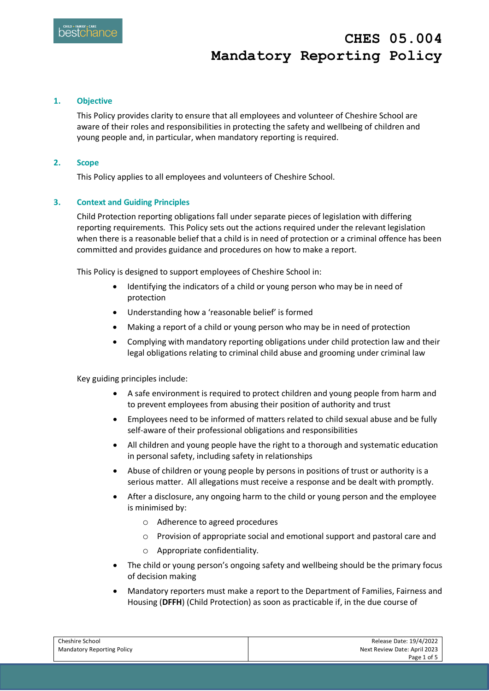## **CHES 05.004 Mandatory Reporting Policy**

## **1. Objective**

This Policy provides clarity to ensure that all employees and volunteer of Cheshire School are aware of their roles and responsibilities in protecting the safety and wellbeing of children and young people and, in particular, when mandatory reporting is required.

#### **2. Scope**

This Policy applies to all employees and volunteers of Cheshire School.

## **3. Context and Guiding Principles**

Child Protection reporting obligations fall under separate pieces of legislation with differing reporting requirements. This Policy sets out the actions required under the relevant legislation when there is a reasonable belief that a child is in need of protection or a criminal offence has been committed and provides guidance and procedures on how to make a report.

This Policy is designed to support employees of Cheshire School in:

- Identifying the indicators of a child or young person who may be in need of protection
- Understanding how a 'reasonable belief' is formed
- Making a report of a child or young person who may be in need of protection
- Complying with mandatory reporting obligations under child protection law and their legal obligations relating to criminal child abuse and grooming under criminal law

Key guiding principles include:

- A safe environment is required to protect children and young people from harm and to prevent employees from abusing their position of authority and trust
- Employees need to be informed of matters related to child sexual abuse and be fully self-aware of their professional obligations and responsibilities
- All children and young people have the right to a thorough and systematic education in personal safety, including safety in relationships
- Abuse of children or young people by persons in positions of trust or authority is a serious matter. All allegations must receive a response and be dealt with promptly.
- After a disclosure, any ongoing harm to the child or young person and the employee is minimised by:
	- o Adherence to agreed procedures
	- o Provision of appropriate social and emotional support and pastoral care and
	- o Appropriate confidentiality.
- The child or young person's ongoing safety and wellbeing should be the primary focus of decision making
- Mandatory reporters must make a report to the Department of Families, Fairness and Housing (**DFFH**) (Child Protection) as soon as practicable if, in the due course of

| Cheshire School                   | Release Date: 19/4/2022      |
|-----------------------------------|------------------------------|
| <b>Mandatory Reporting Policy</b> | Next Review Date: April 2023 |
|                                   | Page 1 of 5                  |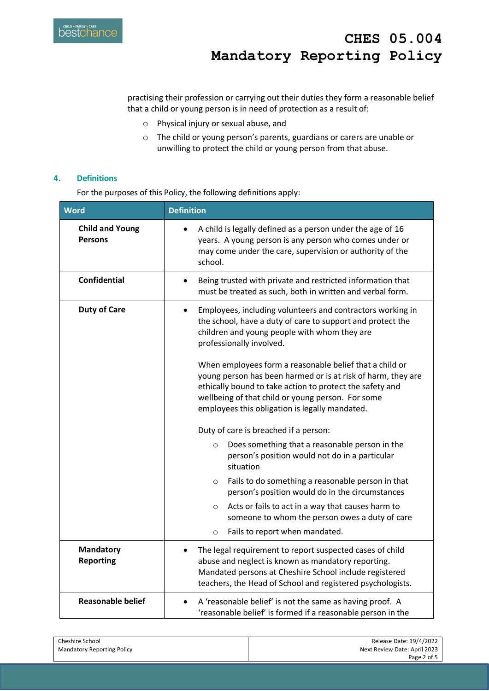

practising their profession or carrying out their duties they form a reasonable belief that a child or young person is in need of protection as a result of:

- o Physical injury or sexual abuse, and
- o The child or young person's parents, guardians or carers are unable or unwilling to protect the child or young person from that abuse.

## **4. Definitions**

For the purposes of this Policy, the following definitions apply:

| <b>Word</b>                              | <b>Definition</b>                                                                                                                                                                                                                                                                          |  |
|------------------------------------------|--------------------------------------------------------------------------------------------------------------------------------------------------------------------------------------------------------------------------------------------------------------------------------------------|--|
| <b>Child and Young</b><br><b>Persons</b> | A child is legally defined as a person under the age of 16<br>years. A young person is any person who comes under or<br>may come under the care, supervision or authority of the<br>school.                                                                                                |  |
| <b>Confidential</b>                      | Being trusted with private and restricted information that<br>must be treated as such, both in written and verbal form.                                                                                                                                                                    |  |
| <b>Duty of Care</b>                      | Employees, including volunteers and contractors working in<br>the school, have a duty of care to support and protect the<br>children and young people with whom they are<br>professionally involved.                                                                                       |  |
|                                          | When employees form a reasonable belief that a child or<br>young person has been harmed or is at risk of harm, they are<br>ethically bound to take action to protect the safety and<br>wellbeing of that child or young person. For some<br>employees this obligation is legally mandated. |  |
|                                          | Duty of care is breached if a person:                                                                                                                                                                                                                                                      |  |
|                                          | Does something that a reasonable person in the<br>$\circ$<br>person's position would not do in a particular<br>situation                                                                                                                                                                   |  |
|                                          | Fails to do something a reasonable person in that<br>$\circ$<br>person's position would do in the circumstances                                                                                                                                                                            |  |
|                                          | Acts or fails to act in a way that causes harm to<br>$\circ$<br>someone to whom the person owes a duty of care                                                                                                                                                                             |  |
|                                          | Fails to report when mandated.<br>$\circ$                                                                                                                                                                                                                                                  |  |
| <b>Mandatory</b><br><b>Reporting</b>     | The legal requirement to report suspected cases of child<br>abuse and neglect is known as mandatory reporting.<br>Mandated persons at Cheshire School include registered<br>teachers, the Head of School and registered psychologists.                                                     |  |
| <b>Reasonable belief</b>                 | A 'reasonable belief' is not the same as having proof. A<br>'reasonable belief' is formed if a reasonable person in the                                                                                                                                                                    |  |

| Cheshire School                   | Release Date: 19/4/2022      |
|-----------------------------------|------------------------------|
| <b>Mandatory Reporting Policy</b> | Next Review Date: April 2023 |
|                                   | Page 2 of 5                  |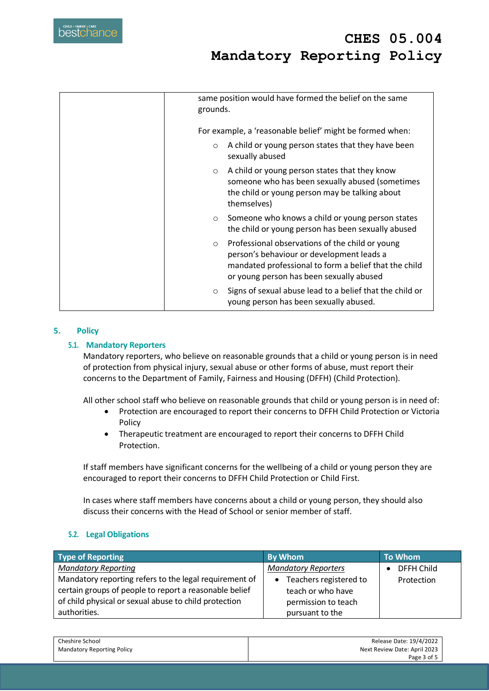# **CHES 05.004 Mandatory Reporting Policy**

| same position would have formed the belief on the same<br>grounds.                                                                                                                                           |
|--------------------------------------------------------------------------------------------------------------------------------------------------------------------------------------------------------------|
| For example, a 'reasonable belief' might be formed when:                                                                                                                                                     |
| A child or young person states that they have been<br>$\circ$<br>sexually abused                                                                                                                             |
| A child or young person states that they know<br>$\circ$<br>someone who has been sexually abused (sometimes<br>the child or young person may be talking about<br>themselves)                                 |
| Someone who knows a child or young person states<br>$\circ$<br>the child or young person has been sexually abused                                                                                            |
| Professional observations of the child or young<br>$\circ$<br>person's behaviour or development leads a<br>mandated professional to form a belief that the child<br>or young person has been sexually abused |
| Signs of sexual abuse lead to a belief that the child or<br>$\circ$<br>young person has been sexually abused.                                                                                                |

## **5. Policy**

#### **5.1. Mandatory Reporters**

Mandatory reporters, who believe on reasonable grounds that a child or young person is in need of protection from physical injury, sexual abuse or other forms of abuse, must report their concerns to the Department of Family, Fairness and Housing (DFFH) (Child Protection).

All other school staff who believe on reasonable grounds that child or young person is in need of:

- Protection are encouraged to report their concerns to DFFH Child Protection or Victoria Policy
- Therapeutic treatment are encouraged to report their concerns to DFFH Child Protection.

If staff members have significant concerns for the wellbeing of a child or young person they are encouraged to report their concerns to DFFH Child Protection or Child First.

In cases where staff members have concerns about a child or young person, they should also discuss their concerns with the Head of School or senior member of staff.

#### **5.2. Legal Obligations**

| <b>Type of Reporting</b>                               | <b>By Whom</b>                      | <b>To Whom</b> |
|--------------------------------------------------------|-------------------------------------|----------------|
| <b>Mandatory Reporting</b>                             | <b>Mandatory Reporters</b>          | DFFH Child     |
| Mandatory reporting refers to the legal requirement of | Teachers registered to<br>$\bullet$ | Protection     |
| certain groups of people to report a reasonable belief | teach or who have                   |                |
| of child physical or sexual abuse to child protection  | permission to teach                 |                |
| authorities.                                           | pursuant to the                     |                |

| Cheshire School                   | Release Date: 19/4/2022      |
|-----------------------------------|------------------------------|
| <b>Mandatory Reporting Policy</b> | Next Review Date: April 2023 |
|                                   | Page 3 of 5                  |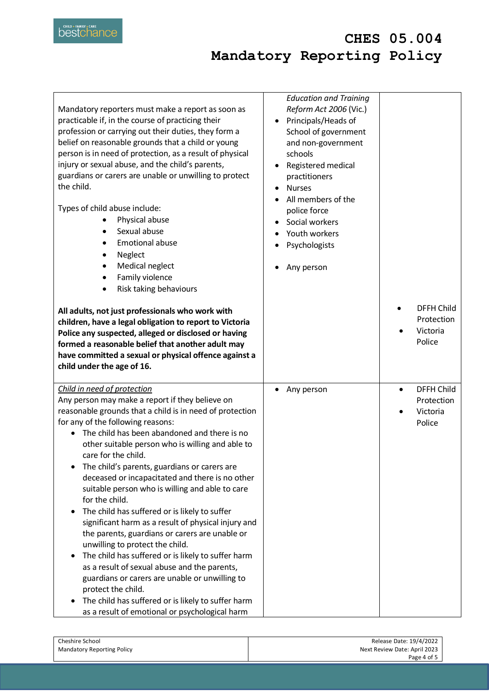

## **CHES 05.004 Mandatory Reporting Policy**

| Mandatory reporters must make a report as soon as<br>practicable if, in the course of practicing their<br>profession or carrying out their duties, they form a<br>belief on reasonable grounds that a child or young<br>person is in need of protection, as a result of physical<br>injury or sexual abuse, and the child's parents,<br>guardians or carers are unable or unwilling to protect<br>the child.<br>Types of child abuse include:<br>Physical abuse<br>Sexual abuse<br><b>Emotional abuse</b><br>Neglect<br>Medical neglect<br>Family violence<br>Risk taking behaviours<br>All adults, not just professionals who work with<br>children, have a legal obligation to report to Victoria<br>Police any suspected, alleged or disclosed or having<br>formed a reasonable belief that another adult may<br>have committed a sexual or physical offence against a<br>child under the age of 16.                                                               | <b>Education and Training</b><br>Reform Act 2006 (Vic.)<br>Principals/Heads of<br>$\bullet$<br>School of government<br>and non-government<br>schools<br>Registered medical<br>$\bullet$<br>practitioners<br><b>Nurses</b><br>$\bullet$<br>All members of the<br>police force<br>Social workers<br>Youth workers<br>Psychologists<br>Any person | <b>DFFH Child</b><br>Protection<br>Victoria<br>Police              |
|-----------------------------------------------------------------------------------------------------------------------------------------------------------------------------------------------------------------------------------------------------------------------------------------------------------------------------------------------------------------------------------------------------------------------------------------------------------------------------------------------------------------------------------------------------------------------------------------------------------------------------------------------------------------------------------------------------------------------------------------------------------------------------------------------------------------------------------------------------------------------------------------------------------------------------------------------------------------------|------------------------------------------------------------------------------------------------------------------------------------------------------------------------------------------------------------------------------------------------------------------------------------------------------------------------------------------------|--------------------------------------------------------------------|
| Child in need of protection<br>Any person may make a report if they believe on<br>reasonable grounds that a child is in need of protection<br>for any of the following reasons:<br>The child has been abandoned and there is no<br>other suitable person who is willing and able to<br>care for the child.<br>The child's parents, guardians or carers are<br>deceased or incapacitated and there is no other<br>suitable person who is willing and able to care<br>for the child.<br>The child has suffered or is likely to suffer<br>significant harm as a result of physical injury and<br>the parents, guardians or carers are unable or<br>unwilling to protect the child.<br>The child has suffered or is likely to suffer harm<br>as a result of sexual abuse and the parents,<br>guardians or carers are unable or unwilling to<br>protect the child.<br>The child has suffered or is likely to suffer harm<br>as a result of emotional or psychological harm | Any person                                                                                                                                                                                                                                                                                                                                     | <b>DFFH Child</b><br>$\bullet$<br>Protection<br>Victoria<br>Police |